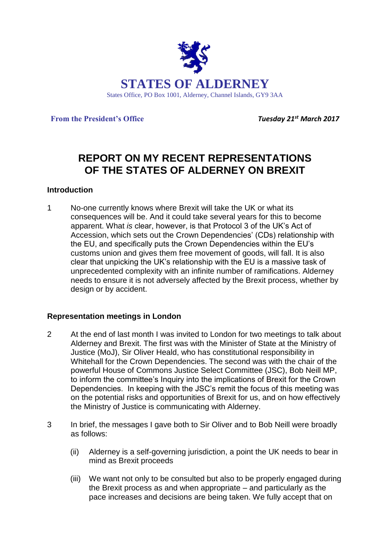

**From the President's Office** *Tuesday 21st March 2017*

# **REPORT ON MY RECENT REPRESENTATIONS OF THE STATES OF ALDERNEY ON BREXIT**

### **Introduction**

1 No-one currently knows where Brexit will take the UK or what its consequences will be. And it could take several years for this to become apparent. What *is* clear, however, is that Protocol 3 of the UK's Act of Accession, which sets out the Crown Dependencies' (CDs) relationship with the EU, and specifically puts the Crown Dependencies within the EU's customs union and gives them free movement of goods, will fall. It is also clear that unpicking the UK's relationship with the EU is a massive task of unprecedented complexity with an infinite number of ramifications. Alderney needs to ensure it is not adversely affected by the Brexit process, whether by design or by accident.

### **Representation meetings in London**

- 2 At the end of last month I was invited to London for two meetings to talk about Alderney and Brexit. The first was with the Minister of State at the Ministry of Justice (MoJ), Sir Oliver Heald, who has constitutional responsibility in Whitehall for the Crown Dependencies. The second was with the chair of the powerful House of Commons Justice Select Committee (JSC), Bob Neill MP, to inform the committee's Inquiry into the implications of Brexit for the Crown Dependencies. In keeping with the JSC's remit the focus of this meeting was on the potential risks and opportunities of Brexit for us, and on how effectively the Ministry of Justice is communicating with Alderney.
- 3 In brief, the messages I gave both to Sir Oliver and to Bob Neill were broadly as follows:
	- (ii) Alderney is a self-governing jurisdiction, a point the UK needs to bear in mind as Brexit proceeds
	- (iii) We want not only to be consulted but also to be properly engaged during the Brexit process as and when appropriate – and particularly as the pace increases and decisions are being taken. We fully accept that on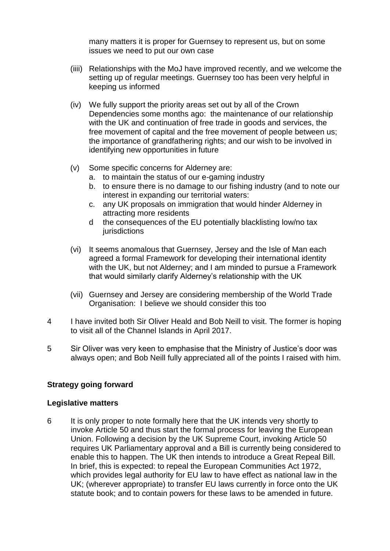many matters it is proper for Guernsey to represent us, but on some issues we need to put our own case

- (iiii) Relationships with the MoJ have improved recently, and we welcome the setting up of regular meetings. Guernsey too has been very helpful in keeping us informed
- (iv) We fully support the priority areas set out by all of the Crown Dependencies some months ago: the maintenance of our relationship with the UK and continuation of free trade in goods and services, the free movement of capital and the free movement of people between us; the importance of grandfathering rights; and our wish to be involved in identifying new opportunities in future
- (v) Some specific concerns for Alderney are:
	- a. to maintain the status of our e-gaming industry
	- b. to ensure there is no damage to our fishing industry (and to note our interest in expanding our territorial waters:
	- c. any UK proposals on immigration that would hinder Alderney in attracting more residents
	- d the consequences of the EU potentially blacklisting low/no tax **jurisdictions**
- (vi) It seems anomalous that Guernsey, Jersey and the Isle of Man each agreed a formal Framework for developing their international identity with the UK, but not Alderney; and I am minded to pursue a Framework that would similarly clarify Alderney's relationship with the UK
- (vii) Guernsey and Jersey are considering membership of the World Trade Organisation: I believe we should consider this too
- 4 I have invited both Sir Oliver Heald and Bob Neill to visit. The former is hoping to visit all of the Channel Islands in April 2017.
- 5 Sir Oliver was very keen to emphasise that the Ministry of Justice's door was always open; and Bob Neill fully appreciated all of the points I raised with him.

### **Strategy going forward**

#### **Legislative matters**

6 It is only proper to note formally here that the UK intends very shortly to invoke Article 50 and thus start the formal process for leaving the European Union. Following a decision by the UK Supreme Court, invoking Article 50 requires UK Parliamentary approval and a Bill is currently being considered to enable this to happen. The UK then intends to introduce a Great Repeal Bill. In brief, this is expected: to repeal the [European Communities Act 1972,](http://www.instituteforgovernment.org.uk/brexit/brexit-brief-1972-european-communities-act) which provides legal authority for EU law to have effect as national law in the UK; (wherever appropriate) to transfer EU laws currently in force onto the UK statute book; and to contain powers for these laws to be amended in future.